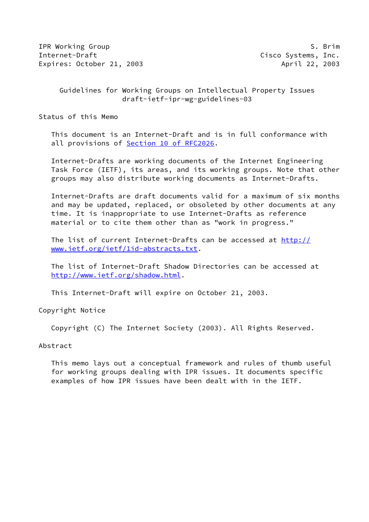IPR Working Group **S. Brim** Internet-Draft Cisco Systems, Inc. Expires: October 21, 2003 April 22, 2003

 Guidelines for Working Groups on Intellectual Property Issues draft-ietf-ipr-wg-guidelines-03

Status of this Memo

 This document is an Internet-Draft and is in full conformance with all provisions of Section [10 of RFC2026.](https://datatracker.ietf.org/doc/pdf/rfc2026#section-10)

 Internet-Drafts are working documents of the Internet Engineering Task Force (IETF), its areas, and its working groups. Note that other groups may also distribute working documents as Internet-Drafts.

 Internet-Drafts are draft documents valid for a maximum of six months and may be updated, replaced, or obsoleted by other documents at any time. It is inappropriate to use Internet-Drafts as reference material or to cite them other than as "work in progress."

 The list of current Internet-Drafts can be accessed at [http://](http://www.ietf.org/ietf/1id-abstracts.txt) [www.ietf.org/ietf/1id-abstracts.txt](http://www.ietf.org/ietf/1id-abstracts.txt).

 The list of Internet-Draft Shadow Directories can be accessed at <http://www.ietf.org/shadow.html>.

This Internet-Draft will expire on October 21, 2003.

Copyright Notice

Copyright (C) The Internet Society (2003). All Rights Reserved.

Abstract

 This memo lays out a conceptual framework and rules of thumb useful for working groups dealing with IPR issues. It documents specific examples of how IPR issues have been dealt with in the IETF.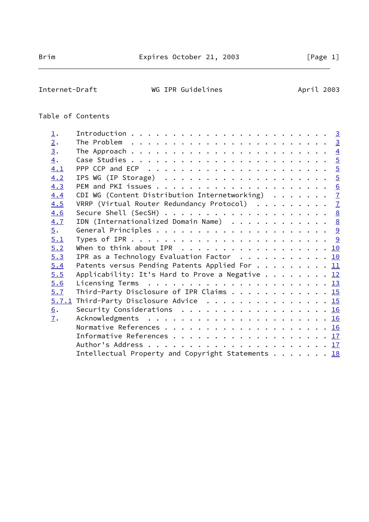# Internet-Draft WG IPR Guidelines Moment April 2003

# Table of Contents

| $\perp$ .         |                                                                                                  |  |  |  |  |
|-------------------|--------------------------------------------------------------------------------------------------|--|--|--|--|
| 2.                | The Problem $\ldots \ldots \ldots \ldots \ldots \ldots \ldots \ldots \ldots \quad \underline{3}$ |  |  |  |  |
| $\underline{3}$ . |                                                                                                  |  |  |  |  |
| $\overline{4}$ .  |                                                                                                  |  |  |  |  |
| 4.1               |                                                                                                  |  |  |  |  |
| 4.2               | IPS WG (IP Storage) $\ldots \ldots \ldots \ldots \ldots \ldots \ldots \frac{5}{2}$               |  |  |  |  |
| 4.3               |                                                                                                  |  |  |  |  |
| 4.4               | CDI WG (Content Distribution Internetworking) $\ldots \ldots$ 7                                  |  |  |  |  |
| 4.5               | VRRP (Virtual Router Redundancy Protocol) 7                                                      |  |  |  |  |
| 4.6               | Secure Shell (SecSH) $\ldots$ 8                                                                  |  |  |  |  |
| 4.7               | IDN (Internationalized Domain Name) $\cdots$ 8                                                   |  |  |  |  |
| $\overline{5}$ .  |                                                                                                  |  |  |  |  |
| 5.1               |                                                                                                  |  |  |  |  |
| 5.2               | When to think about IPR $\ldots$ 10                                                              |  |  |  |  |
| 5.3               | IPR as a Technology Evaluation Factor 10                                                         |  |  |  |  |
| 5.4               | Patents versus Pending Patents Applied For 11                                                    |  |  |  |  |
| 5.5               | Applicability: It's Hard to Prove a Negative $\frac{12}{1}$                                      |  |  |  |  |
| 5.6               |                                                                                                  |  |  |  |  |
| 5.7               | Third-Party Disclosure of IPR Claims 15                                                          |  |  |  |  |
|                   | 5.7.1 Third-Party Disclosure Advice 15                                                           |  |  |  |  |
| $\underline{6}$ . | Security Considerations $\ldots \ldots \ldots \ldots \ldots \ldots \frac{16}{16}$                |  |  |  |  |
| $\overline{1}$ .  |                                                                                                  |  |  |  |  |
|                   |                                                                                                  |  |  |  |  |
|                   |                                                                                                  |  |  |  |  |
|                   |                                                                                                  |  |  |  |  |
|                   | Intellectual Property and Copyright Statements 18                                                |  |  |  |  |
|                   |                                                                                                  |  |  |  |  |

 $\overline{\phantom{0}}$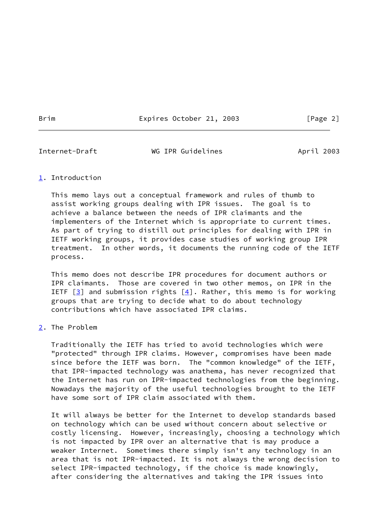Brim Expires October 21, 2003 [Page 2]

<span id="page-2-1"></span>Internet-Draft WG IPR Guidelines April 2003

# <span id="page-2-0"></span>[1](#page-2-0). Introduction

 This memo lays out a conceptual framework and rules of thumb to assist working groups dealing with IPR issues. The goal is to achieve a balance between the needs of IPR claimants and the implementers of the Internet which is appropriate to current times. As part of trying to distill out principles for dealing with IPR in IETF working groups, it provides case studies of working group IPR treatment. In other words, it documents the running code of the IETF process.

 This memo does not describe IPR procedures for document authors or IPR claimants. Those are covered in two other memos, on IPR in the IETF  $[3]$  and submission rights  $[4]$  $[4]$ . Rather, this memo is for working groups that are trying to decide what to do about technology contributions which have associated IPR claims.

<span id="page-2-2"></span>[2](#page-2-2). The Problem

 Traditionally the IETF has tried to avoid technologies which were "protected" through IPR claims. However, compromises have been made since before the IETF was born. The "common knowledge" of the IETF, that IPR-impacted technology was anathema, has never recognized that the Internet has run on IPR-impacted technologies from the beginning. Nowadays the majority of the useful technologies brought to the IETF have some sort of IPR claim associated with them.

 It will always be better for the Internet to develop standards based on technology which can be used without concern about selective or costly licensing. However, increasingly, choosing a technology which is not impacted by IPR over an alternative that is may produce a weaker Internet. Sometimes there simply isn't any technology in an area that is not IPR-impacted. It is not always the wrong decision to select IPR-impacted technology, if the choice is made knowingly, after considering the alternatives and taking the IPR issues into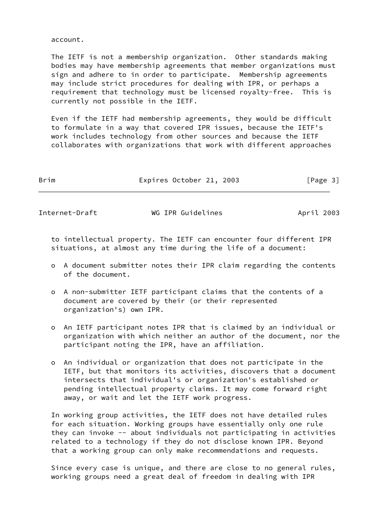account.

 The IETF is not a membership organization. Other standards making bodies may have membership agreements that member organizations must sign and adhere to in order to participate. Membership agreements may include strict procedures for dealing with IPR, or perhaps a requirement that technology must be licensed royalty-free. This is currently not possible in the IETF.

 Even if the IETF had membership agreements, they would be difficult to formulate in a way that covered IPR issues, because the IETF's work includes technology from other sources and because the IETF collaborates with organizations that work with different approaches

| Brim | Expires October 21, 2003 | [Page 3] |
|------|--------------------------|----------|
|------|--------------------------|----------|

<span id="page-3-0"></span>

Internet-Draft WG IPR Guidelines April 2003

 to intellectual property. The IETF can encounter four different IPR situations, at almost any time during the life of a document:

- o A document submitter notes their IPR claim regarding the contents of the document.
- o A non-submitter IETF participant claims that the contents of a document are covered by their (or their represented organization's) own IPR.
- o An IETF participant notes IPR that is claimed by an individual or organization with which neither an author of the document, nor the participant noting the IPR, have an affiliation.
- o An individual or organization that does not participate in the IETF, but that monitors its activities, discovers that a document intersects that individual's or organization's established or pending intellectual property claims. It may come forward right away, or wait and let the IETF work progress.

 In working group activities, the IETF does not have detailed rules for each situation. Working groups have essentially only one rule they can invoke -- about individuals not participating in activities related to a technology if they do not disclose known IPR. Beyond that a working group can only make recommendations and requests.

 Since every case is unique, and there are close to no general rules, working groups need a great deal of freedom in dealing with IPR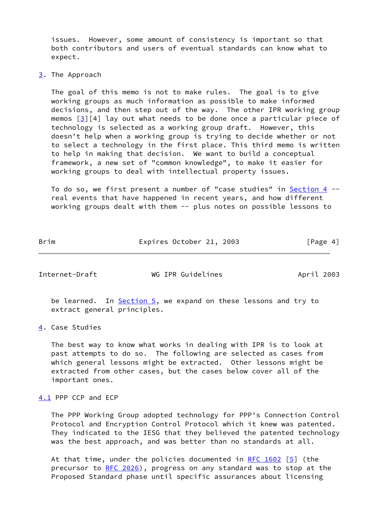issues. However, some amount of consistency is important so that both contributors and users of eventual standards can know what to expect.

#### <span id="page-4-0"></span>[3](#page-4-0). The Approach

 The goal of this memo is not to make rules. The goal is to give working groups as much information as possible to make informed decisions, and then step out of the way. The other IPR working group memos  $\lceil 3 \rceil \lceil 4 \rceil$  lay out what needs to be done once a particular piece of technology is selected as a working group draft. However, this doesn't help when a working group is trying to decide whether or not to select a technology in the first place. This third memo is written to help in making that decision. We want to build a conceptual framework, a new set of "common knowledge", to make it easier for working groups to deal with intellectual property issues.

 To do so, we first present a number of "case studies" in [Section 4](#page-4-1) - real events that have happened in recent years, and how different working groups dealt with them -- plus notes on possible lessons to

Brim Expires October 21, 2003 [Page 4]

<span id="page-4-2"></span>Internet-Draft WG IPR Guidelines April 2003

be learned. In **Section 5**, we expand on these lessons and try to extract general principles.

<span id="page-4-1"></span>[4](#page-4-1). Case Studies

 The best way to know what works in dealing with IPR is to look at past attempts to do so. The following are selected as cases from which general lessons might be extracted. Other lessons might be extracted from other cases, but the cases below cover all of the important ones.

## <span id="page-4-3"></span>[4.1](#page-4-3) PPP CCP and ECP

 The PPP Working Group adopted technology for PPP's Connection Control Protocol and Encryption Control Protocol which it knew was patented. They indicated to the IESG that they believed the patented technology was the best approach, and was better than no standards at all.

At that time, under the policies documented in RFC  $1602$  [\[5](#page-18-2)] (the precursor to [RFC 2026](https://datatracker.ietf.org/doc/pdf/rfc2026)), progress on any standard was to stop at the Proposed Standard phase until specific assurances about licensing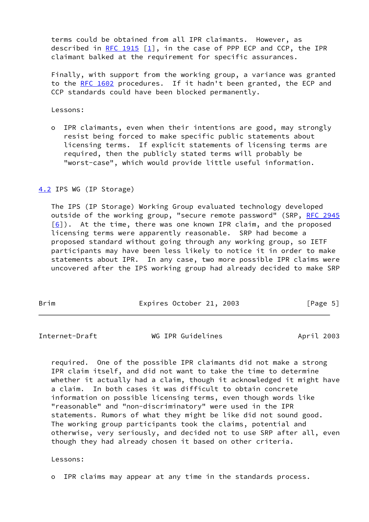terms could be obtained from all IPR claimants. However, as described in [RFC 1915](https://datatracker.ietf.org/doc/pdf/rfc1915)  $[1]$  $[1]$ , in the case of PPP ECP and CCP, the IPR claimant balked at the requirement for specific assurances.

 Finally, with support from the working group, a variance was granted to the [RFC 1602](https://datatracker.ietf.org/doc/pdf/rfc1602) procedures. If it hadn't been granted, the ECP and CCP standards could have been blocked permanently.

Lessons:

 o IPR claimants, even when their intentions are good, may strongly resist being forced to make specific public statements about licensing terms. If explicit statements of licensing terms are required, then the publicly stated terms will probably be "worst-case", which would provide little useful information.

<span id="page-5-0"></span>[4.2](#page-5-0) IPS WG (IP Storage)

 The IPS (IP Storage) Working Group evaluated technology developed outside of the working group, "secure remote password" (SRP, [RFC 2945](https://datatracker.ietf.org/doc/pdf/rfc2945)  $[6]$  $[6]$ ). At the time, there was one known IPR claim, and the proposed licensing terms were apparently reasonable. SRP had become a proposed standard without going through any working group, so IETF participants may have been less likely to notice it in order to make statements about IPR. In any case, two more possible IPR claims were uncovered after the IPS working group had already decided to make SRP

Brim Expires October 21, 2003 [Page 5]

<span id="page-5-1"></span>Internet-Draft WG IPR Guidelines April 2003

 required. One of the possible IPR claimants did not make a strong IPR claim itself, and did not want to take the time to determine whether it actually had a claim, though it acknowledged it might have a claim. In both cases it was difficult to obtain concrete information on possible licensing terms, even though words like "reasonable" and "non-discriminatory" were used in the IPR statements. Rumors of what they might be like did not sound good. The working group participants took the claims, potential and otherwise, very seriously, and decided not to use SRP after all, even though they had already chosen it based on other criteria.

Lessons:

o IPR claims may appear at any time in the standards process.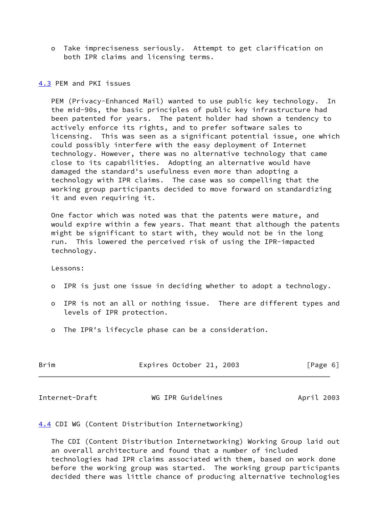o Take impreciseness seriously. Attempt to get clarification on both IPR claims and licensing terms.

#### <span id="page-6-0"></span>[4.3](#page-6-0) PEM and PKI issues

 PEM (Privacy-Enhanced Mail) wanted to use public key technology. In the mid-90s, the basic principles of public key infrastructure had been patented for years. The patent holder had shown a tendency to actively enforce its rights, and to prefer software sales to licensing. This was seen as a significant potential issue, one which could possibly interfere with the easy deployment of Internet technology. However, there was no alternative technology that came close to its capabilities. Adopting an alternative would have damaged the standard's usefulness even more than adopting a technology with IPR claims. The case was so compelling that the working group participants decided to move forward on standardizing it and even requiring it.

 One factor which was noted was that the patents were mature, and would expire within a few years. That meant that although the patents might be significant to start with, they would not be in the long run. This lowered the perceived risk of using the IPR-impacted technology.

Lessons:

- o IPR is just one issue in deciding whether to adopt a technology.
- o IPR is not an all or nothing issue. There are different types and levels of IPR protection.
- o The IPR's lifecycle phase can be a consideration.

| Brim<br>Expires October 21, 2003 | [Page 6] |
|----------------------------------|----------|
|----------------------------------|----------|

<span id="page-6-2"></span>Internet-Draft WG IPR Guidelines April 2003

<span id="page-6-1"></span>[4.4](#page-6-1) CDI WG (Content Distribution Internetworking)

 The CDI (Content Distribution Internetworking) Working Group laid out an overall architecture and found that a number of included technologies had IPR claims associated with them, based on work done before the working group was started. The working group participants decided there was little chance of producing alternative technologies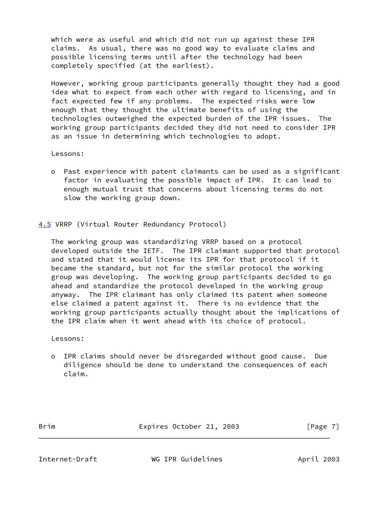which were as useful and which did not run up against these IPR claims. As usual, there was no good way to evaluate claims and possible licensing terms until after the technology had been completely specified (at the earliest).

 However, working group participants generally thought they had a good idea what to expect from each other with regard to licensing, and in fact expected few if any problems. The expected risks were low enough that they thought the ultimate benefits of using the technologies outweighed the expected burden of the IPR issues. The working group participants decided they did not need to consider IPR as an issue in determining which technologies to adopt.

Lessons:

 o Past experience with patent claimants can be used as a significant factor in evaluating the possible impact of IPR. It can lead to enough mutual trust that concerns about licensing terms do not slow the working group down.

<span id="page-7-0"></span>[4.5](#page-7-0) VRRP (Virtual Router Redundancy Protocol)

 The working group was standardizing VRRP based on a protocol developed outside the IETF. The IPR claimant supported that protocol and stated that it would license its IPR for that protocol if it became the standard, but not for the similar protocol the working group was developing. The working group participants decided to go ahead and standardize the protocol developed in the working group anyway. The IPR claimant has only claimed its patent when someone else claimed a patent against it. There is no evidence that the working group participants actually thought about the implications of the IPR claim when it went ahead with its choice of protocol.

Lessons:

 o IPR claims should never be disregarded without good cause. Due diligence should be done to understand the consequences of each claim.

Brim Expires October 21, 2003 [Page 7]

<span id="page-7-1"></span>Internet-Draft WG IPR Guidelines April 2003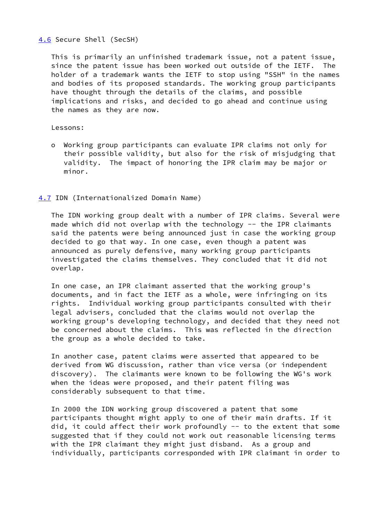# <span id="page-8-0"></span>[4.6](#page-8-0) Secure Shell (SecSH)

 This is primarily an unfinished trademark issue, not a patent issue, since the patent issue has been worked out outside of the IETF. The holder of a trademark wants the IETF to stop using "SSH" in the names and bodies of its proposed standards. The working group participants have thought through the details of the claims, and possible implications and risks, and decided to go ahead and continue using the names as they are now.

#### Lessons:

 o Working group participants can evaluate IPR claims not only for their possible validity, but also for the risk of misjudging that validity. The impact of honoring the IPR claim may be major or minor.

## <span id="page-8-1"></span>[4.7](#page-8-1) IDN (Internationalized Domain Name)

 The IDN working group dealt with a number of IPR claims. Several were made which did not overlap with the technology -- the IPR claimants said the patents were being announced just in case the working group decided to go that way. In one case, even though a patent was announced as purely defensive, many working group participants investigated the claims themselves. They concluded that it did not overlap.

 In one case, an IPR claimant asserted that the working group's documents, and in fact the IETF as a whole, were infringing on its rights. Individual working group participants consulted with their legal advisers, concluded that the claims would not overlap the working group's developing technology, and decided that they need not be concerned about the claims. This was reflected in the direction the group as a whole decided to take.

 In another case, patent claims were asserted that appeared to be derived from WG discussion, rather than vice versa (or independent discovery). The claimants were known to be following the WG's work when the ideas were proposed, and their patent filing was considerably subsequent to that time.

 In 2000 the IDN working group discovered a patent that some participants thought might apply to one of their main drafts. If it did, it could affect their work profoundly -- to the extent that some suggested that if they could not work out reasonable licensing terms with the IPR claimant they might just disband. As a group and individually, participants corresponded with IPR claimant in order to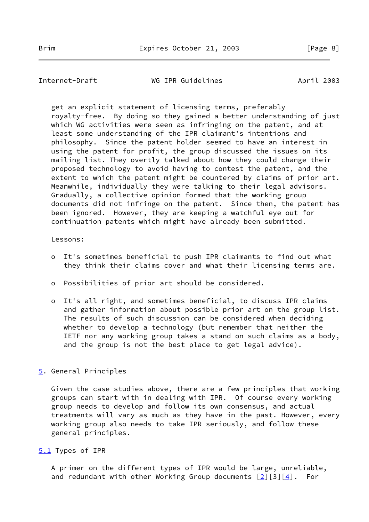<span id="page-9-1"></span>Internet-Draft WG IPR Guidelines April 2003

 get an explicit statement of licensing terms, preferably royalty-free. By doing so they gained a better understanding of just which WG activities were seen as infringing on the patent, and at least some understanding of the IPR claimant's intentions and philosophy. Since the patent holder seemed to have an interest in using the patent for profit, the group discussed the issues on its mailing list. They overtly talked about how they could change their proposed technology to avoid having to contest the patent, and the extent to which the patent might be countered by claims of prior art. Meanwhile, individually they were talking to their legal advisors. Gradually, a collective opinion formed that the working group documents did not infringe on the patent. Since then, the patent has been ignored. However, they are keeping a watchful eye out for continuation patents which might have already been submitted.

#### Lessons:

- o It's sometimes beneficial to push IPR claimants to find out what they think their claims cover and what their licensing terms are.
- o Possibilities of prior art should be considered.
- o It's all right, and sometimes beneficial, to discuss IPR claims and gather information about possible prior art on the group list. The results of such discussion can be considered when deciding whether to develop a technology (but remember that neither the IETF nor any working group takes a stand on such claims as a body, and the group is not the best place to get legal advice).

## <span id="page-9-0"></span>[5](#page-9-0). General Principles

 Given the case studies above, there are a few principles that working groups can start with in dealing with IPR. Of course every working group needs to develop and follow its own consensus, and actual treatments will vary as much as they have in the past. However, every working group also needs to take IPR seriously, and follow these general principles.

#### <span id="page-9-2"></span>[5.1](#page-9-2) Types of IPR

 A primer on the different types of IPR would be large, unreliable, and redundant with other Working Group documents  $[2][3][4]$  $[2][3][4]$  $[2][3][4]$  $[2][3][4]$ . For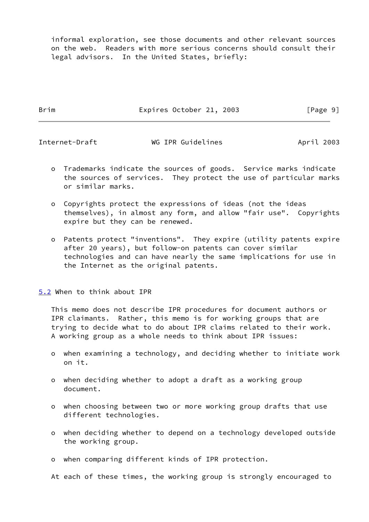informal exploration, see those documents and other relevant sources on the web. Readers with more serious concerns should consult their legal advisors. In the United States, briefly:

Brim Expires October 21, 2003 [Page 9]

<span id="page-10-1"></span>

Internet-Draft WG IPR Guidelines April 2003

- o Trademarks indicate the sources of goods. Service marks indicate the sources of services. They protect the use of particular marks or similar marks.
- o Copyrights protect the expressions of ideas (not the ideas themselves), in almost any form, and allow "fair use". Copyrights expire but they can be renewed.
- o Patents protect "inventions". They expire (utility patents expire after 20 years), but follow-on patents can cover similar technologies and can have nearly the same implications for use in the Internet as the original patents.

<span id="page-10-0"></span>[5.2](#page-10-0) When to think about IPR

 This memo does not describe IPR procedures for document authors or IPR claimants. Rather, this memo is for working groups that are trying to decide what to do about IPR claims related to their work. A working group as a whole needs to think about IPR issues:

- o when examining a technology, and deciding whether to initiate work on it.
- o when deciding whether to adopt a draft as a working group document.
- o when choosing between two or more working group drafts that use different technologies.
- o when deciding whether to depend on a technology developed outside the working group.
- o when comparing different kinds of IPR protection.

At each of these times, the working group is strongly encouraged to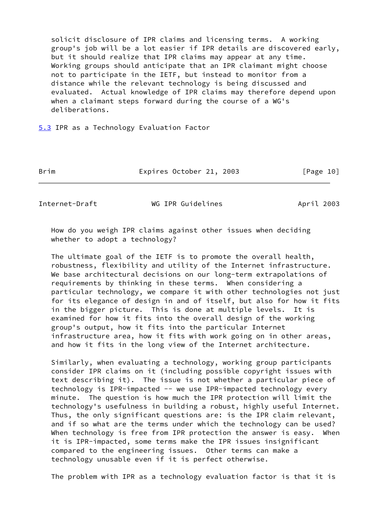solicit disclosure of IPR claims and licensing terms. A working group's job will be a lot easier if IPR details are discovered early, but it should realize that IPR claims may appear at any time. Working groups should anticipate that an IPR claimant might choose not to participate in the IETF, but instead to monitor from a distance while the relevant technology is being discussed and evaluated. Actual knowledge of IPR claims may therefore depend upon when a claimant steps forward during the course of a WG's deliberations.

<span id="page-11-0"></span>[5.3](#page-11-0) IPR as a Technology Evaluation Factor

Brim Expires October 21, 2003 [Page 10]

<span id="page-11-1"></span>Internet-Draft WG IPR Guidelines April 2003

 How do you weigh IPR claims against other issues when deciding whether to adopt a technology?

 The ultimate goal of the IETF is to promote the overall health, robustness, flexibility and utility of the Internet infrastructure. We base architectural decisions on our long-term extrapolations of requirements by thinking in these terms. When considering a particular technology, we compare it with other technologies not just for its elegance of design in and of itself, but also for how it fits in the bigger picture. This is done at multiple levels. It is examined for how it fits into the overall design of the working group's output, how it fits into the particular Internet infrastructure area, how it fits with work going on in other areas, and how it fits in the long view of the Internet architecture.

 Similarly, when evaluating a technology, working group participants consider IPR claims on it (including possible copyright issues with text describing it). The issue is not whether a particular piece of technology is IPR-impacted -- we use IPR-impacted technology every minute. The question is how much the IPR protection will limit the technology's usefulness in building a robust, highly useful Internet. Thus, the only significant questions are: is the IPR claim relevant, and if so what are the terms under which the technology can be used? When technology is free from IPR protection the answer is easy. When it is IPR-impacted, some terms make the IPR issues insignificant compared to the engineering issues. Other terms can make a technology unusable even if it is perfect otherwise.

The problem with IPR as a technology evaluation factor is that it is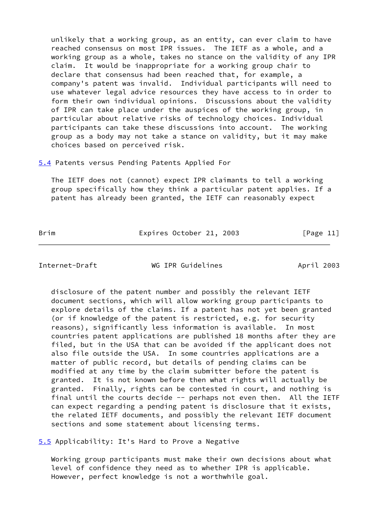unlikely that a working group, as an entity, can ever claim to have reached consensus on most IPR issues. The IETF as a whole, and a working group as a whole, takes no stance on the validity of any IPR claim. It would be inappropriate for a working group chair to declare that consensus had been reached that, for example, a company's patent was invalid. Individual participants will need to use whatever legal advice resources they have access to in order to form their own individual opinions. Discussions about the validity of IPR can take place under the auspices of the working group, in particular about relative risks of technology choices. Individual participants can take these discussions into account. The working group as a body may not take a stance on validity, but it may make choices based on perceived risk.

<span id="page-12-0"></span>[5.4](#page-12-0) Patents versus Pending Patents Applied For

 The IETF does not (cannot) expect IPR claimants to tell a working group specifically how they think a particular patent applies. If a patent has already been granted, the IETF can reasonably expect

Brim Expires October 21, 2003 [Page 11]

<span id="page-12-2"></span>Internet-Draft WG IPR Guidelines April 2003

 disclosure of the patent number and possibly the relevant IETF document sections, which will allow working group participants to explore details of the claims. If a patent has not yet been granted (or if knowledge of the patent is restricted, e.g. for security reasons), significantly less information is available. In most countries patent applications are published 18 months after they are filed, but in the USA that can be avoided if the applicant does not also file outside the USA. In some countries applications are a matter of public record, but details of pending claims can be modified at any time by the claim submitter before the patent is granted. It is not known before then what rights will actually be granted. Finally, rights can be contested in court, and nothing is final until the courts decide -- perhaps not even then. All the IETF can expect regarding a pending patent is disclosure that it exists, the related IETF documents, and possibly the relevant IETF document sections and some statement about licensing terms.

<span id="page-12-1"></span>[5.5](#page-12-1) Applicability: It's Hard to Prove a Negative

 Working group participants must make their own decisions about what level of confidence they need as to whether IPR is applicable. However, perfect knowledge is not a worthwhile goal.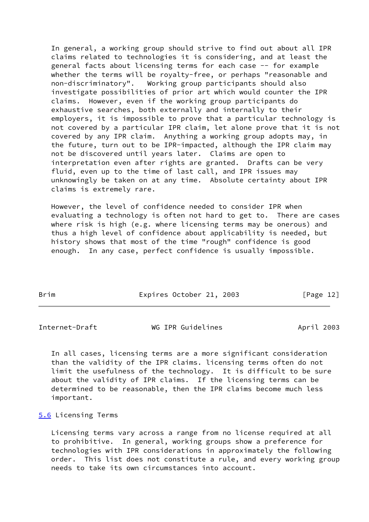In general, a working group should strive to find out about all IPR claims related to technologies it is considering, and at least the general facts about licensing terms for each case -- for example whether the terms will be royalty-free, or perhaps "reasonable and non-discriminatory". Working group participants should also investigate possibilities of prior art which would counter the IPR claims. However, even if the working group participants do exhaustive searches, both externally and internally to their employers, it is impossible to prove that a particular technology is not covered by a particular IPR claim, let alone prove that it is not covered by any IPR claim. Anything a working group adopts may, in the future, turn out to be IPR-impacted, although the IPR claim may not be discovered until years later. Claims are open to interpretation even after rights are granted. Drafts can be very fluid, even up to the time of last call, and IPR issues may unknowingly be taken on at any time. Absolute certainty about IPR claims is extremely rare.

 However, the level of confidence needed to consider IPR when evaluating a technology is often not hard to get to. There are cases where risk is high (e.g. where licensing terms may be onerous) and thus a high level of confidence about applicability is needed, but history shows that most of the time "rough" confidence is good enough. In any case, perfect confidence is usually impossible.

| Brim | Expires October 21, 2003 | [Page 12] |
|------|--------------------------|-----------|

<span id="page-13-1"></span>Internet-Draft WG IPR Guidelines April 2003

 In all cases, licensing terms are a more significant consideration than the validity of the IPR claims. licensing terms often do not limit the usefulness of the technology. It is difficult to be sure about the validity of IPR claims. If the licensing terms can be determined to be reasonable, then the IPR claims become much less important.

#### <span id="page-13-0"></span>[5.6](#page-13-0) Licensing Terms

 Licensing terms vary across a range from no license required at all to prohibitive. In general, working groups show a preference for technologies with IPR considerations in approximately the following order. This list does not constitute a rule, and every working group needs to take its own circumstances into account.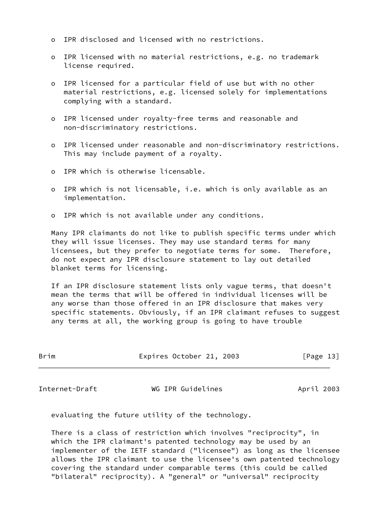- o IPR disclosed and licensed with no restrictions.
- o IPR licensed with no material restrictions, e.g. no trademark license required.
- o IPR licensed for a particular field of use but with no other material restrictions, e.g. licensed solely for implementations complying with a standard.
- o IPR licensed under royalty-free terms and reasonable and non-discriminatory restrictions.
- o IPR licensed under reasonable and non-discriminatory restrictions. This may include payment of a royalty.
- o IPR which is otherwise licensable.
- o IPR which is not licensable, i.e. which is only available as an implementation.
- o IPR which is not available under any conditions.

 Many IPR claimants do not like to publish specific terms under which they will issue licenses. They may use standard terms for many licensees, but they prefer to negotiate terms for some. Therefore, do not expect any IPR disclosure statement to lay out detailed blanket terms for licensing.

 If an IPR disclosure statement lists only vague terms, that doesn't mean the terms that will be offered in individual licenses will be any worse than those offered in an IPR disclosure that makes very specific statements. Obviously, if an IPR claimant refuses to suggest any terms at all, the working group is going to have trouble

| Brim | Expires October 21, 2003 |  | [Page 13] |  |
|------|--------------------------|--|-----------|--|
|      |                          |  |           |  |

Internet-Draft WG IPR Guidelines April 2003

evaluating the future utility of the technology.

 There is a class of restriction which involves "reciprocity", in which the IPR claimant's patented technology may be used by an implementer of the IETF standard ("licensee") as long as the licensee allows the IPR claimant to use the licensee's own patented technology covering the standard under comparable terms (this could be called "bilateral" reciprocity). A "general" or "universal" reciprocity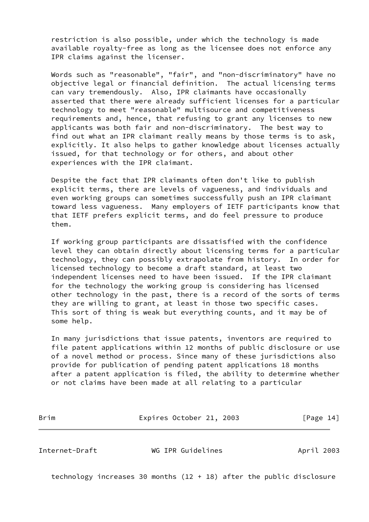restriction is also possible, under which the technology is made available royalty-free as long as the licensee does not enforce any IPR claims against the licenser.

 Words such as "reasonable", "fair", and "non-discriminatory" have no objective legal or financial definition. The actual licensing terms can vary tremendously. Also, IPR claimants have occasionally asserted that there were already sufficient licenses for a particular technology to meet "reasonable" multisource and competitiveness requirements and, hence, that refusing to grant any licenses to new applicants was both fair and non-discriminatory. The best way to find out what an IPR claimant really means by those terms is to ask, explicitly. It also helps to gather knowledge about licenses actually issued, for that technology or for others, and about other experiences with the IPR claimant.

 Despite the fact that IPR claimants often don't like to publish explicit terms, there are levels of vagueness, and individuals and even working groups can sometimes successfully push an IPR claimant toward less vagueness. Many employers of IETF participants know that that IETF prefers explicit terms, and do feel pressure to produce them.

 If working group participants are dissatisfied with the confidence level they can obtain directly about licensing terms for a particular technology, they can possibly extrapolate from history. In order for licensed technology to become a draft standard, at least two independent licenses need to have been issued. If the IPR claimant for the technology the working group is considering has licensed other technology in the past, there is a record of the sorts of terms they are willing to grant, at least in those two specific cases. This sort of thing is weak but everything counts, and it may be of some help.

 In many jurisdictions that issue patents, inventors are required to file patent applications within 12 months of public disclosure or use of a novel method or process. Since many of these jurisdictions also provide for publication of pending patent applications 18 months after a patent application is filed, the ability to determine whether or not claims have been made at all relating to a particular

Brim Expires October 21, 2003 [Page 14]

<span id="page-15-0"></span>Internet-Draft WG IPR Guidelines April 2003

technology increases 30 months (12 + 18) after the public disclosure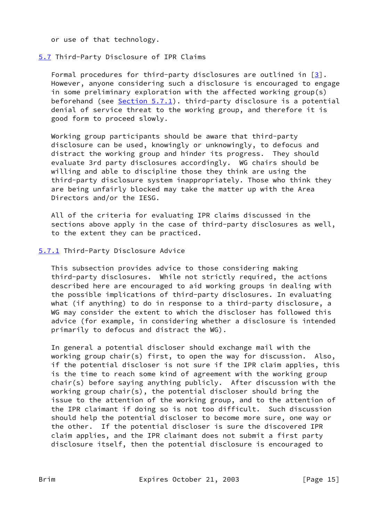or use of that technology.

# <span id="page-16-0"></span>[5.7](#page-16-0) Third-Party Disclosure of IPR Claims

 Formal procedures for third-party disclosures are outlined in [[3\]](#page-17-3). However, anyone considering such a disclosure is encouraged to engage in some preliminary exploration with the affected working group(s) beforehand (see  $Section 5.7.1$ ). third-party disclosure is a potential denial of service threat to the working group, and therefore it is good form to proceed slowly.

 Working group participants should be aware that third-party disclosure can be used, knowingly or unknowingly, to defocus and distract the working group and hinder its progress. They should evaluate 3rd party disclosures accordingly. WG chairs should be willing and able to discipline those they think are using the third-party disclosure system inappropriately. Those who think they are being unfairly blocked may take the matter up with the Area Directors and/or the IESG.

 All of the criteria for evaluating IPR claims discussed in the sections above apply in the case of third-party disclosures as well, to the extent they can be practiced.

## <span id="page-16-1"></span>[5.7.1](#page-16-1) Third-Party Disclosure Advice

 This subsection provides advice to those considering making third-party disclosures. While not strictly required, the actions described here are encouraged to aid working groups in dealing with the possible implications of third-party disclosures. In evaluating what (if anything) to do in response to a third-party disclosure, a WG may consider the extent to which the discloser has followed this advice (for example, in considering whether a disclosure is intended primarily to defocus and distract the WG).

 In general a potential discloser should exchange mail with the working group chair(s) first, to open the way for discussion. Also, if the potential discloser is not sure if the IPR claim applies, this is the time to reach some kind of agreement with the working group chair(s) before saying anything publicly. After discussion with the working group chair(s), the potential discloser should bring the issue to the attention of the working group, and to the attention of the IPR claimant if doing so is not too difficult. Such discussion should help the potential discloser to become more sure, one way or the other. If the potential discloser is sure the discovered IPR claim applies, and the IPR claimant does not submit a first party disclosure itself, then the potential disclosure is encouraged to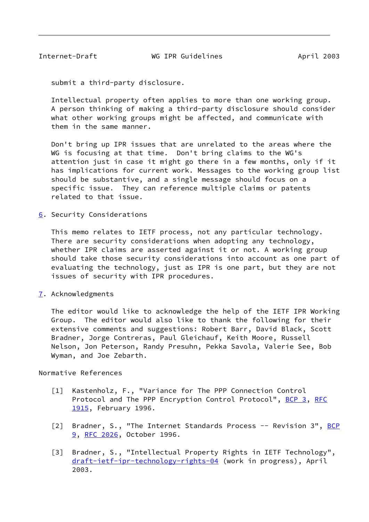<span id="page-17-1"></span>Internet-Draft WG IPR Guidelines April 2003

submit a third-party disclosure.

 Intellectual property often applies to more than one working group. A person thinking of making a third-party disclosure should consider what other working groups might be affected, and communicate with them in the same manner.

 Don't bring up IPR issues that are unrelated to the areas where the WG is focusing at that time. Don't bring claims to the WG's attention just in case it might go there in a few months, only if it has implications for current work. Messages to the working group list should be substantive, and a single message should focus on a specific issue. They can reference multiple claims or patents related to that issue.

<span id="page-17-0"></span>[6](#page-17-0). Security Considerations

 This memo relates to IETF process, not any particular technology. There are security considerations when adopting any technology, whether IPR claims are asserted against it or not. A working group should take those security considerations into account as one part of evaluating the technology, just as IPR is one part, but they are not issues of security with IPR procedures.

<span id="page-17-2"></span>[7](#page-17-2). Acknowledgments

 The editor would like to acknowledge the help of the IETF IPR Working Group. The editor would also like to thank the following for their extensive comments and suggestions: Robert Barr, David Black, Scott Bradner, Jorge Contreras, Paul Gleichauf, Keith Moore, Russell Nelson, Jon Peterson, Randy Presuhn, Pekka Savola, Valerie See, Bob Wyman, and Joe Zebarth.

Normative References

- <span id="page-17-4"></span> [1] Kastenholz, F., "Variance for The PPP Connection Control Protocol and The PPP Encryption Control Protocol", [BCP 3](https://datatracker.ietf.org/doc/pdf/bcp3), [RFC](https://datatracker.ietf.org/doc/pdf/rfc1915) [1915](https://datatracker.ietf.org/doc/pdf/rfc1915), February 1996.
- <span id="page-17-5"></span>[2] Bradner, S., "The Internet Standards Process -- Revision 3", [BCP](https://datatracker.ietf.org/doc/pdf/bcp9) [9](https://datatracker.ietf.org/doc/pdf/bcp9), [RFC 2026](https://datatracker.ietf.org/doc/pdf/rfc2026), October 1996.
- <span id="page-17-3"></span> [3] Bradner, S., "Intellectual Property Rights in IETF Technology", [draft-ietf-ipr-technology-rights-04](https://datatracker.ietf.org/doc/pdf/draft-ietf-ipr-technology-rights-04) (work in progress), April 2003.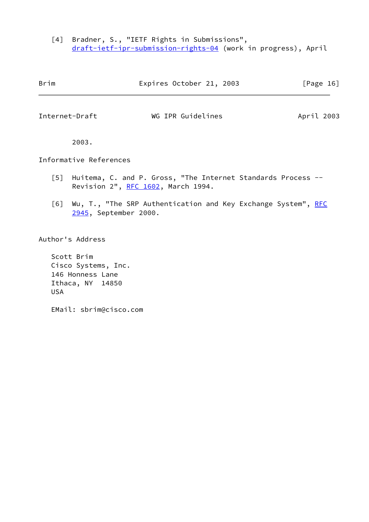<span id="page-18-1"></span> [4] Bradner, S., "IETF Rights in Submissions", [draft-ietf-ipr-submission-rights-04](https://datatracker.ietf.org/doc/pdf/draft-ietf-ipr-submission-rights-04) (work in progress), April

<span id="page-18-0"></span>

| Brim              |                        |                                    | Expires October 21, 2003                                     |            | [Page 16] |
|-------------------|------------------------|------------------------------------|--------------------------------------------------------------|------------|-----------|
| Internet-Draft    |                        |                                    | WG IPR Guidelines                                            | April 2003 |           |
|                   | 2003.                  |                                    |                                                              |            |           |
|                   | Informative References |                                    |                                                              |            |           |
| $\lceil 5 \rceil$ |                        | Revision 2", RFC 1602, March 1994. | Huitema, C. and P. Gross, "The Internet Standards Process -- |            |           |

<span id="page-18-3"></span><span id="page-18-2"></span>[6] Wu, T., "The SRP Authentication and Key Exchange System", [RFC](https://datatracker.ietf.org/doc/pdf/rfc2945) [2945](https://datatracker.ietf.org/doc/pdf/rfc2945), September 2000.

Author's Address

 Scott Brim Cisco Systems, Inc. 146 Honness Lane Ithaca, NY 14850 USA

EMail: sbrim@cisco.com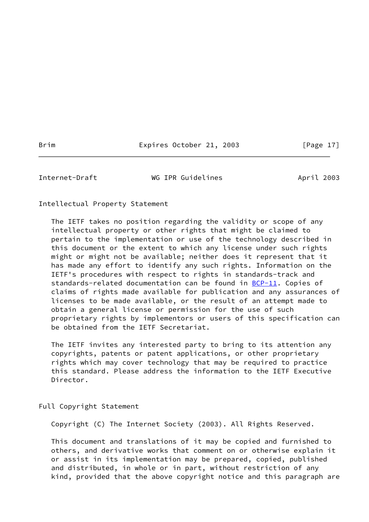Brim Expires October 21, 2003 [Page 17]

<span id="page-19-0"></span>Internet-Draft **WG IPR Guidelines** April 2003

Intellectual Property Statement

 The IETF takes no position regarding the validity or scope of any intellectual property or other rights that might be claimed to pertain to the implementation or use of the technology described in this document or the extent to which any license under such rights might or might not be available; neither does it represent that it has made any effort to identify any such rights. Information on the IETF's procedures with respect to rights in standards-track and standards-related documentation can be found in  $BCP-11$ . Copies of claims of rights made available for publication and any assurances of licenses to be made available, or the result of an attempt made to obtain a general license or permission for the use of such proprietary rights by implementors or users of this specification can be obtained from the IETF Secretariat.

 The IETF invites any interested party to bring to its attention any copyrights, patents or patent applications, or other proprietary rights which may cover technology that may be required to practice this standard. Please address the information to the IETF Executive Director.

Full Copyright Statement

Copyright (C) The Internet Society (2003). All Rights Reserved.

 This document and translations of it may be copied and furnished to others, and derivative works that comment on or otherwise explain it or assist in its implementation may be prepared, copied, published and distributed, in whole or in part, without restriction of any kind, provided that the above copyright notice and this paragraph are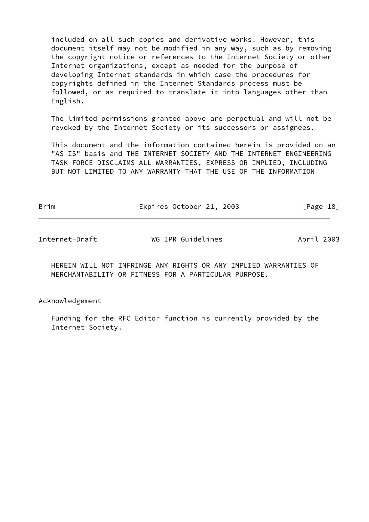included on all such copies and derivative works. However, this document itself may not be modified in any way, such as by removing the copyright notice or references to the Internet Society or other Internet organizations, except as needed for the purpose of developing Internet standards in which case the procedures for copyrights defined in the Internet Standards process must be followed, or as required to translate it into languages other than English.

 The limited permissions granted above are perpetual and will not be revoked by the Internet Society or its successors or assignees.

 This document and the information contained herein is provided on an "AS IS" basis and THE INTERNET SOCIETY AND THE INTERNET ENGINEERING TASK FORCE DISCLAIMS ALL WARRANTIES, EXPRESS OR IMPLIED, INCLUDING BUT NOT LIMITED TO ANY WARRANTY THAT THE USE OF THE INFORMATION

| Brim | Expires October 21, 2003 |  | [Page 18] |
|------|--------------------------|--|-----------|
|      |                          |  |           |

Internet-Draft WG IPR Guidelines April 2003

 HEREIN WILL NOT INFRINGE ANY RIGHTS OR ANY IMPLIED WARRANTIES OF MERCHANTABILITY OR FITNESS FOR A PARTICULAR PURPOSE.

Acknowledgement

 Funding for the RFC Editor function is currently provided by the Internet Society.